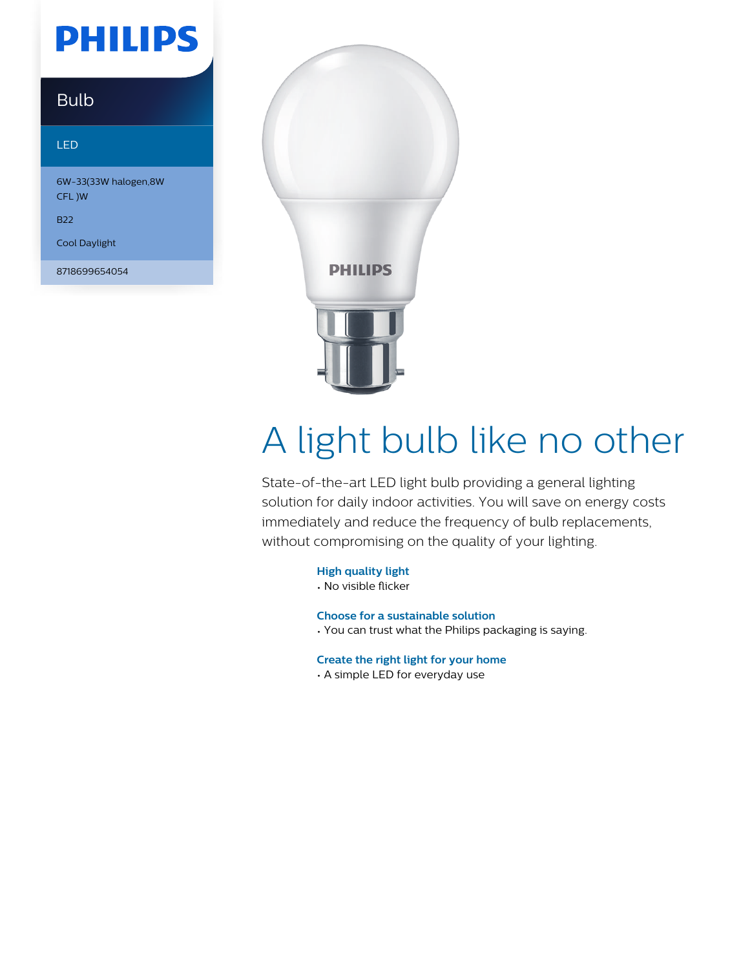## **PHILIPS**

### Bulb

#### LED

6W-33(33W halogen,8W CFL )W

B22

Cool Daylight

8718699654054



# A light bulb like no other

State-of-the-art LED light bulb providing a general lighting solution for daily indoor activities. You will save on energy costs immediately and reduce the frequency of bulb replacements, without compromising on the quality of your lighting.

**High quality light**

• No visible flicker

**Choose for a sustainable solution**

• You can trust what the Philips packaging is saying.

**Create the right light for your home**

• A simple LED for everyday use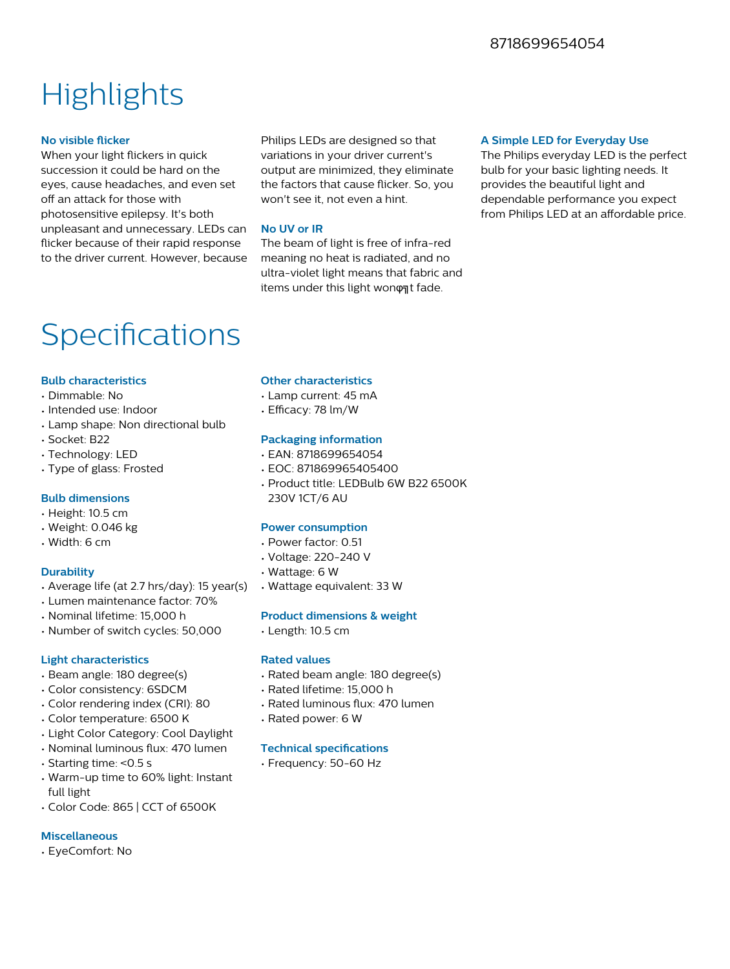### **Highlights**

#### **No visible flicker**

When your light flickers in quick succession it could be hard on the eyes, cause headaches, and even set off an attack for those with photosensitive epilepsy. It's both unpleasant and unnecessary. LEDs can flicker because of their rapid response to the driver current. However, because

Philips LEDs are designed so that variations in your driver current's output are minimized, they eliminate the factors that cause flicker. So, you won't see it, not even a hint.

#### **No UV or IR**

The beam of light is free of infra-red meaning no heat is radiated, and no ultra-violet light means that fabric and items under this light wonφηt fade.

#### **A Simple LED for Everyday Use**

The Philips everyday LED is the perfect bulb for your basic lighting needs. It provides the beautiful light and dependable performance you expect from Philips LED at an affordable price.

### Specifications

#### **Bulb characteristics**

- Dimmable: No
- Intended use: Indoor
- Lamp shape: Non directional bulb
- Socket: B22
- Technology: LED
- Type of glass: Frosted

#### **Bulb dimensions**

- Height: 10.5 cm
- Weight: 0.046 kg
- Width: 6 cm

#### **Durability**

- Average life (at 2.7 hrs/day): 15 year(s)
- Lumen maintenance factor: 70%
- Nominal lifetime: 15,000 h
- Number of switch cycles: 50,000

#### **Light characteristics**

- Beam angle: 180 degree(s)
- Color consistency: 6SDCM
- Color rendering index (CRI): 80
- Color temperature: 6500 K
- Light Color Category: Cool Daylight
- Nominal luminous flux: 470 lumen
- Starting time: <0.5 s
- Warm-up time to 60% light: Instant full light
- Color Code: 865 | CCT of 6500K

#### **Miscellaneous**

• EyeComfort: No

#### **Other characteristics**

- Lamp current: 45 mA
- Efficacy: 78 lm/W

#### **Packaging information**

- EAN: 8718699654054
- EOC: 871869965405400
- Product title: LEDBulb 6W B22 6500K 230V 1CT/6 AU

#### **Power consumption**

- Power factor: 0.51
- Voltage: 220-240 V
- Wattage: 6 W
- Wattage equivalent: 33 W

#### **Product dimensions & weight**

• Length: 10.5 cm

#### **Rated values**

- Rated beam angle: 180 degree(s)
- Rated lifetime: 15,000 h
- Rated luminous flux: 470 lumen
- Rated power: 6 W

#### **Technical specifications**

• Frequency: 50-60 Hz